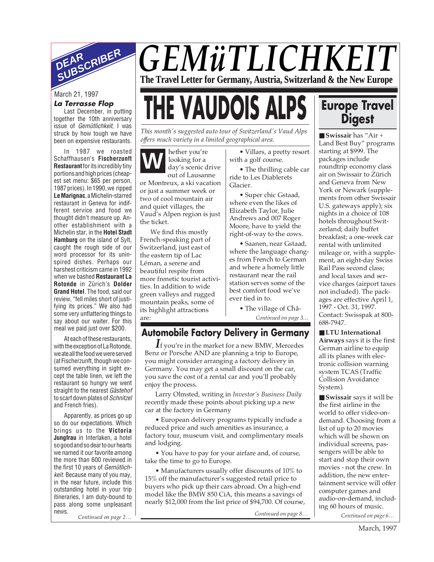

#### **La Terrasse Flop**

Last December, in putting together the 10th anniversary issue of Gemütlichkeit, I was struck by how tough we have been on expensive restaurants.

In 1987 we roasted Schaffhausen's **Fischerzunft Restaurant**for its incredibly tiny portions and high prices (cheapest set menu: \$65 per person, 1987 prices). In 1990, we ripped **Le Marignac**, a Michelin-starred restaurant in Geneva for indifferent service and food we thought didn't measure up. Another establishment with a Michelin star, in the **Hotel Stadt Hamburg** on the island of Sylt, caught the rough side of our word processor for its uninspired dishes. Perhaps our harshest criticism came in 1992 when we bashed **Restaurant La Rotonde** in Zürich's **Dolder Grand Hotel**. The food, said our review, "fell miles short of justifying its prices." We also had some very unflattering things to say about our waiter. For this meal we paid just over \$200.

At each of these restaurants, with the exception of La Rotonde, we ate all the food we were served (at Fischerzunft, though we consumed everything in sight except the table linen, we left the restaurant so hungry we went straight to the nearest Gästehof to scarf down plates of Schnitzel and French fries).

*Continued on page 2… Continued on page 8… Continued on page 6…* Apparently, as prices go up so do our expectations. Which brings us to the **Victoria Jungfrau** in Interlaken, a hotel so good and so dear to our hearts we named it our favorite among the more than 600 reviewed in the first 10 years of Gemütlichkeit. Because many of you may, in the near future, include this outstanding hotel in your trip itineraries, I am duty-bound to pass along some unpleasant news.

*GEMüTLICHKEIT* **The Travel Letter for Germany, Austria, Switzerland & the New Europe**

# March 21, 1997<br>La Terrasse Flop<br>test December, in putting **THE VAUDOIS ALPS**

*This month's suggested auto tour of Switzerland's Vaud Alps offers much variety in a limited geographical area.*

**W** hether you're looking for a day's scenic drive out of Lausanne or Montreux, a ski vacation or just a summer week or two of cool mountain air and quiet villages, the

Vaud's Alpen region is just the ticket.

We find this mostly French-speaking part of Switzerland, just east of the eastern tip of Lac Léman, a serene and beautiful respite from more frenetic tourist activities. In addition to wide green valleys and rugged mountain peaks, some of its highlight attractions are:

• Villars, a pretty resort with a golf course.

• The thrilling cable car ride to Les Diablerets Glacier.

• Super chic Gstaad, where even the likes of Elizabeth Taylor, Julie Andrews and 007 Roger Moore, have to yield the right-of-way to the cows.

• Saanen, near Gstaad, where the language changes from French to German and where a homely little restaurant near the rail station serves some of the best comfort food we've ever tied in to.

• The village of Châ-

*Continued on page 3…*

### **Automobile Factory Delivery in Germany**

*I*f you're in the market for a new BMW, Mercedes Benz or Porsche AND are planning a trip to Europe, you might consider arranging a factory delivery in Germany. You may get a small discount on the car, you save the cost of a rental car and you'll probably enjoy the process.

Larry Olmsted, writing in *Investor's Business Daily* recently made these points about picking up a new car at the factory in Germany

• European delivery programs typically include a reduced price and such amenities as insurance, a factory tour, museum visit, and complimentary meals and lodging.

• You have to pay for your airfare and, of course, take the time to go to Europe.

• Manufacturers usually offer discounts of 10% to 15% off the manufacturer's suggested retail price to buyers who pick up their cars abroad. On a high-end model like the BMW 850 CiA, this means a savings of nearly \$12,000 from the list price of \$94,700. Of course,

## **Europe Travel Digest**

■ **Swissair** has "Air + Land Best Buy" programs starting at \$999. The packages include roundtrip economy class air on Swissair to Zürich and Geneva from New York or Newark (supplements from other Swissair U.S. gateways apply); six nights in a choice of 108 hotels throughout Switzerland; daily buffet breakfast; a one-week car rental with unlimited mileage or, with a supplement, an eight-day Swiss Rail Pass second class; and local taxes and service charges (airport taxes not included). The packages are effective April 1, 1997 - Oct. 31, 1997. Contact: Swisspak at 800- 688-7947.

■ **LTU** International **Airways** says it is the first German airline to equip all its planes with electronic collision warning system TCAS (Traffic Collision Avoidance System).

■ **Swissair** says it will be the first airline in the world to offer video-ondemand. Choosing from a list of up to 20 movies which will be shown on individual screens, passengers will be able to start and stop their own movies - not the crew. In addition, the new entertainment service will offer computer games and audio-on-demand, including 60 hours of music.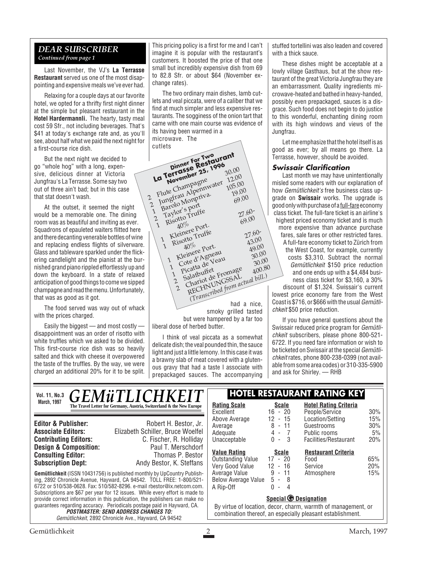#### *DEAR SUBSCRIBER Continued from page 1*

Last November, the VJ's **La Terrasse Restaurant** served us one of the most disappointing and expensive meals we've ever had.

Relaxing for a couple days at our favorite hotel, we opted for a thrifty first night dinner at the simple but pleasant restaurant in the **Hotel Hardermannli.** The hearty, tasty meal cost 59 Sfr., not including beverages. That's \$41 at today's exchange rate and, as you'll see, about half what we paid the next night for a first-course rice dish.

But the next night we decided to go "whole hog" with a long, expensive, delicious dinner at Victoria Jungfrau's La Terrasse. Some say two out of three ain't bad; but in this case that stat doesn't wash.

At the outset, it seemed the night would be a memorable one. The dining room was as beautiful and inviting as ever. Squadrons of epauleted waiters flitted here and there decanting venerable bottles of wine and replacing endless flights of silverware. Glass and tableware sparkled under the flickering candlelight and the pianist at the burnished grand piano rippled effortlessly up and down the keyboard. In a state of relaxed anticipation of good things to come we sipped champagne and read the menu. Unfortunately, that was as good as it got.

2

 $\mathfrak{D}$ 

1

21

The food served was way out of whack with the prices charged.

Easily the biggest — and most costly disappointment was an order of risotto with white truffles which we asked to be divided. This first-course rice dish was so heavily salted and thick with cheese it overpowered the taste of the truffles. By the way, we were charged an additional 20% for it to be split.

This pricing policy is a first for me and I can't imagine it is popular with the restaurant's customers. It boosted the price of that one small but incredibly expensive dish from 69 to 82.8 Sfr. or about \$64 (November exchange rates).

The two ordinary main dishes, lamb cutlets and veal piccata, were of a caliber that we find at much simpler and less expensive restaurants. The sogginess of the onion tart that came with one main course was evidence of its having been warmed in a microwave. The cutlets

had a nice, smoky grilled tasted but were hampered by a far too liberal dose of herbed butter. Flute Champagne<br>Jungtrau Alpenny<br>Barolo Monpriva<br>Barolor's port 30.00<br>12.00 Flute Champennwater 105.00<br>Jungfrau Alpennya. 19.00<br>Jungfrau Alpennya. 69.00<br>Paylor's Port 69.00 Flute Char Alpenin.<br>
Jungfrau Alpenina. 19.00<br>
Jungfrau Monpriva. 69.00<br>
1 Barolo Truffe 27. 105.00 Risotto Truffe<br>40%<br>Kleinere port.<br>Risotto Truffe 69.00 40% 1Explor<sup>es</sup> Fruffe<br>
Risotto Truffe<br>
27.60-<br>
27.60-<br>
Kleinere Pruffe<br>
27.60-<br>
27.60-<br>
27.60- $\mathcal{L}$ Risotto Truffe 69.00<br>
Risotto Truffe 77.6<br>
Risotto Truffe 77.6<br>
Risotto Port. 43. 40% 1Kleinere Truffe<br>
Risotto Truffe<br>
20.00<br>
29.00<br>
20.000<br>
20.0000 20.000<br>
20.0000 20.000<br>
20.0000 20.000  $\mathcal{L}$ Cote d'Agneau<br>Picatta de Veau<br>Salatbuffet<br>Chariot de Fromage<br>Chariot de Fromage<br>RECHNUNGSSAL  $27.60 - 43.00$ 1 Picatta de Veau 49.00<br>30.00 2ote u de Veau<br>Salatbuffet 30.00<br>Salatbuffet 300.80<br>Charin LNGSAL 2Cote d'Ab Veau<br>
Cote d'Ab Veau<br>
Picatta de Fromage 400.80<br>
Salatour de Fromage 400.80<br>
Chariot de Fromactual bill.)<br>
RECHNUNG from actual bill. *(Transcribed from actual bill.)* **Dinner For Two La Terrasse Restaurant November 25, 1996**

I think of veal piccata as a somewhat delicate dish; the veal pounded thin, the sauce light and just a little lemony. In this case it was a brawny slab of meat covered with a gluten-

ous gravy that had a taste I associate with prepackaged sauces. The accompanying stuffed tortellini was also leaden and covered with a thick sauce.

These dishes might be acceptable at a lowly village Gasthaus, but at the show restaurant of the great Victoria Jungfrau they are an embarrassment. Quality ingredients microwave-heated and bathed in heavy-handed, possibly even prepackaged, sauces is a disgrace. Such food does not begin to do justice to this wonderful, enchanting dining room with its high windows and views of the Jungfrau.

Let me emphasize that the hotel itself is as good as ever; by all means go there. La Terrasse, however, should be avoided.

#### **Swissair Clarification**

Last month we may have unintentionally misled some readers with our explanation of how Gemütlichkeit's free business class upgrade on **Swissair** works. The upgrade is good only with purchase of a full-fare economy class ticket. The full-fare ticket is an airline's highest priced economy ticket and is much more expensive than advance purchase fares, sale fares or other restricted fares. A full-fare economy ticket to Zürich from the West Coast, for example, currently costs \$3,310. Subtract the normal Gemütlichkeit \$150 price reduction and one ends up with a \$4,484 business class ticket for \$3,160, a 30% discount of \$1,324. Swissair's current lowest price economy fare from the West Coast is \$716, or \$666 with the usual Gemütlichkeit \$50 price reduction.

If you have general questions about the Swissair reduced price program for Gemütlichkeit subscribers, please phone 800-521- 6722. If you need fare information or wish to be ticketed on Swissair at the special Gemütlichkeit rates, phone 800-238-0399 (not available from some area codes) or 310-335-5900 and ask for Shirley. — RHB

| Vol. 11, No.3                                                                                        | <i><b>GEMüTLICHKEIT</b></i>                                          |                                                               |                           | <b>HOTEL RESTAURANT RATING KEY</b> |        |
|------------------------------------------------------------------------------------------------------|----------------------------------------------------------------------|---------------------------------------------------------------|---------------------------|------------------------------------|--------|
| <b>March, 1997</b>                                                                                   | The Travel Letter for Germany, Austria, Switzerland & the New Europe | <b>Rating Scale</b>                                           | <b>Scale</b>              | <b>Hotel Rating Criteria</b>       |        |
|                                                                                                      |                                                                      | Excellent                                                     | $16 - 20$                 | People/Service                     | $30\%$ |
|                                                                                                      |                                                                      | Above Average                                                 | 12<br>$-15$               | Location/Setting                   | 15%    |
| <b>Editor &amp; Publisher:</b>                                                                       | Robert H. Bestor, Jr.                                                | Average                                                       | 8<br>- 11                 | Guestrooms                         | 30%    |
| <b>Associate Editors:</b>                                                                            | Elizabeth Schiller, Bruce Woelfel                                    | Adequate                                                      | $4 - 7$                   | Public rooms                       | 5%     |
| <b>Contributing Editors:</b>                                                                         | C. Fischer, R. Holliday                                              | Unacceptable                                                  | -3<br>0<br>$\blacksquare$ | Facilities/Restaurant              | 20%    |
| <b>Design &amp; Composition:</b>                                                                     | Paul T. Merschdorf                                                   |                                                               |                           |                                    |        |
| <b>Consulting Editor:</b>                                                                            | Thomas P. Bestor                                                     | <b>Value Rating</b>                                           | Scale                     | <b>Restaurant Criteria</b>         |        |
|                                                                                                      |                                                                      | <b>Outstanding Value</b>                                      | $17 - 20$                 | Food                               | 65%    |
| <b>Subscription Dept:</b>                                                                            | Andy Bestor, K. Steffans                                             | Very Good Value                                               | 12<br>- 16                | Service                            | 20%    |
| <b>Gemütlichkeit</b> (ISSN 10431756) is published monthly by UpCountry Publish-                      |                                                                      | Average Value                                                 | 9<br>- 11                 | Atmosphere                         | 15%    |
| ing, 2892 Chronicle Avenue, Hayward, CA 94542. TOLL FREE: 1-800/521-                                 |                                                                      | <b>Below Average Value</b>                                    | 5<br>- 8                  |                                    |        |
| 6722 or 510/538-0628. Fax: 510/582-8296. e-mail rbestor@ix.netcom.com.                               |                                                                      | A Rip-Off                                                     | 0<br>4<br>$\sim$          |                                    |        |
| Subscriptions are \$67 per year for 12 issues. While every effort is made to                         |                                                                      |                                                               |                           |                                    |        |
| provide correct information in this publication, the publishers can make no                          |                                                                      | <b>Special © Designation</b>                                  |                           |                                    |        |
| guarantees regarding accuracy. Periodicals postage paid in Hayward, CA.                              |                                                                      | By virtue of location, decor, charm, warmth of management, or |                           |                                    |        |
| <b>POSTMASTER: SEND ADDRESS CHANGES TO:</b><br>Gemütlichkeit, 2892 Chronicle Ave., Hayward, CA 94542 |                                                                      | combination thereof, an especially pleasant establishment.    |                           |                                    |        |
|                                                                                                      |                                                                      |                                                               |                           |                                    |        |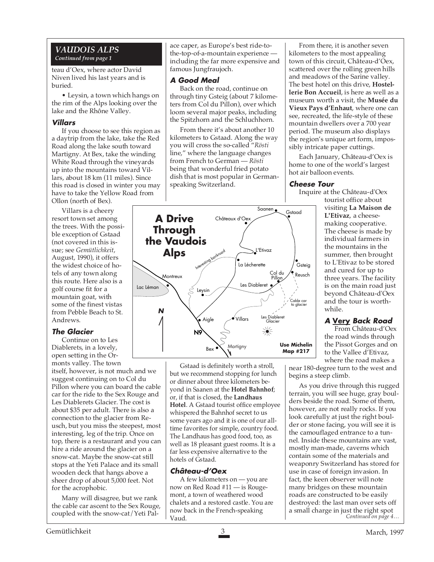#### *VAUDOIS ALPS Continued from page 1*

teau d'Oex, where actor David Niven lived his last years and is buried.

• Leysin, a town which hangs on the rim of the Alps looking over the lake and the Rhône Valley.

#### **Villars**

If you choose to see this region as a daytrip from the lake, take the Red Road along the lake south toward Martigny. At Bex, take the winding White Road through the vineyards up into the mountains toward Villars, about 18 km (11 miles). Since this road is closed in winter you may have to take the Yellow Road from Ollon (north of Bex).

Villars is a cheery resort town set among the trees. With the possible exception of Gstaad (not covered in this issue; see *Gemütlichkeit*, August, 1990), it offers the widest choice of hotels of any town along this route. Here also is a golf course fit for a mountain goat, with some of the finest vistas from Pebble Beach to St. Andrews.

#### **The Glacier**

Continue on to Les Diablerets, in a lovely, open setting in the Ormonts valley. The town itself, however, is not much and we suggest continuing on to Col du Pillon where you can board the cable car for the ride to the Sex Rouge and Les Diablerets Glacier. The cost is about \$35 per adult. There is also a connection to the glacier from Reusch, but you miss the steepest, most interesting, leg of the trip. Once on top, there is a restaurant and you can hire a ride around the glacier on a snow-cat. Maybe the snow-cat still stops at the Yeti Palace and its small wooden deck that hangs above a sheer drop of about 5,000 feet. Not for the acrophobic.

Many will disagree, but we rank the cable car ascent to the Sex Rouge, coupled with the snow-cat/Yeti Palace caper, as Europe's best ride-tothe-top-of-a-mountain experience including the far more expensive and famous Jungfraujoch.

#### **A Good Meal**

Back on the road, continue on through tiny Gsteig (about 7 kilometers from Col du Pillon), over which loom several major peaks, including the Spitzhorn and the Schluchhorn.

From there it's about another 10 kilometers to Gstaad. Along the way you will cross the so-called "*Rösti* line," where the language changes from French to German — *Rösti* being that wonderful fried potato dish that is most popular in Germanspeaking Switzerland.



Gstaad is definitely worth a stroll, but we recommend stopping for lunch or dinner about three kilometers beyond in Saanen at the **Hotel Bahnhof**; or, if that is closed, the **Landhaus Hotel**. A Gstaad tourist office employee whispered the Bahnhof secret to us some years ago and it is one of our alltime favorites for simple, country food. The Landhaus has good food, too, as well as 18 pleasant guest rooms. It is a far less expensive alternative to the hotels of Gstaad.

#### **Château-d'Oex**

A few kilometers on — you are now on Red Road #11 — is Rougemont, a town of weathered wood chalets and a restored castle. You are now back in the French-speaking Vaud.

From there, it is another seven kilometers to the most appealing town of this circuit, Château-d'Oex, scattered over the rolling green hills and meadows of the Sarine valley. The best hotel on this drive, **Hostellerie Bon Accueil**, is here as well as a museum worth a visit, the **Musée du Vieux Pays d'Enhaut**, where one can see, recreated, the life-style of these mountain dwellers over a 700 year period. The museum also displays the region's unique art form, impossibly intricate paper cuttings.

Each January, Château-d'Oex is home to one of the world's largest hot air balloon events.

#### **Cheese Tour**

Inquire at the Château-d'Oex

tourist office about visiting **La Maison de L'Etivaz**, a cheesemaking cooperative. The cheese is made by individual farmers in the mountains in the summer, then brought to L'Etivaz to be stored and cured for up to three years. The facility is on the main road just beyond Château-d'Oex and the tour is worthwhile.

#### **A Very Back Road**

From Château-d'Oex the road winds through the Pissot Gorges and on to the Vallee d'Etivaz, where the road makes a

near 180-degree turn to the west and begins a steep climb.

*Continued on page 4…* As you drive through this rugged terrain, you will see huge, gray boulders beside the road. Some of them, however, are not really rocks. If you look carefully at just the right boulder or stone facing, you will see it is the camouflaged entrance to a tunnel. Inside these mountains are vast, mostly man-made, caverns which contain some of the materials and weaponry Switzerland has stored for use in case of foreign invasion. In fact, the keen observer will note many bridges on these mountain roads are constructed to be easily destroyed: the last man over sets off a small charge in just the right spot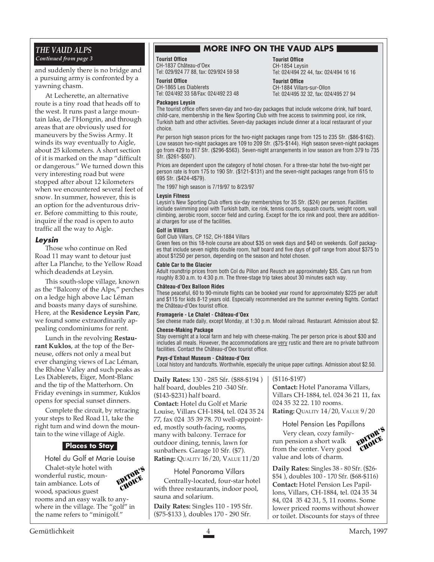#### *THE VAUD ALPS Continued from page 3*

and suddenly there is no bridge and a pursuing army is confronted by a yawning chasm.

At Lecherette, an alternative route is a tiny road that heads off to the west. It runs past a large mountain lake, de l'Hongrin, and through areas that are obviously used for maneuvers by the Swiss Army. It winds its way eventually to Aigle, about 25 kilometers. A short section of it is marked on the map "difficult or dangerous." We turned down this very interesting road but were stopped after about 12 kilometers when we encountered several feet of snow. In summer, however, this is an option for the adventurous driver. Before committing to this route, inquire if the road is open to auto traffic all the way to Aigle.

#### **Leysin**

Those who continue on Red Road 11 may want to detour just after La Planche, to the Yellow Road which deadends at Leysin.

This south-slope village, known as the "Balcony of the Alps," perches on a ledge high above Lac Léman and boasts many days of sunshine. Here, at the **Residence Leysin Parc**, we found some extraordinarily appealing condominiums for rent.

Lunch in the revolving **Restaurant Kuklos**, at the top of the Berneuse, offers not only a meal but ever changing views of Lac Léman, the Rhône Valley and such peaks as Les Diablerets, Eiger, Mont-Blanc and the tip of the Matterhorn. On Friday evenings in summer, Kuklos opens for special sunset dinners.

Complete the circuit, by retracing your steps to Red Road 11, take the right turn and wind down the mountain to the wine village of Aigle.

#### **Places to Stay**

Hotel du Golf et Marie Louise

Chalet-style hotel with wonderful rustic, mountain ambiance. Lots of wood, spacious guest rooms and an easy walk to anywhere in the village. The "golf" in the name refers to "minigolf." EDITOR'S CHOICE

#### **MORE INFO ON THE VAUD ALPS**

**Tourist Office** CH-1854 Leysin

**Tourist Office**

CH-1884 Villars-sur-Ollon Tel: 024/495 32 32, fax: 024/495 27 94

Tel: 024/494 22 44, fax: 024/494 16 16

#### **Tourist Office**

CH-1837 Château-d'Oex Tel: 029/924 77 88, fax: 029/924 59 58

**Tourist Office**

CH-1865 Les Diablerets Tel: 024/492 33 58/Fax: 024/492 23 48

#### **Packages Leysin**

The tourist office offers seven-day and two-day packages that include welcome drink, half board, child-care, membership in the New Sporting Club with free access to swimming pool, ice rink, Turkish bath and other activities. Seven-day packages include dinner at a local restaurant of your choice.

Per person high season prices for the two-night packages range from 125 to 235 Sfr. (\$86-\$162). Low season two-night packages are 109 to 209 Sfr. (\$75-\$144). High season seven-night packages go from 429 to 817 Sfr. (\$296-\$563). Seven-night arrangements in low season are from 379 to 735 Sfr. (\$261-\$507).

Prices are dependent upon the category of hotel chosen. For a three-star hotel the two-night per person rate is from 175 to 190 Sfr. (\$121-\$131) and the seven-night packages range from 615 to 695 Sfr. (\$424-4\$79).

The 1997 high season is 7/19/97 to 8/23/97

#### **Leysin Fitness**

Leysin's New Sporting Club offers six-day memberships for 35 Sfr. (\$24) per person. Facilities include swimming pool with Turkish bath, ice rink, tennis courts, squash courts, weight room, wall climbing, aerobic room, soccer field and curling. Except for the ice rink and pool, there are additional charges for use of the facilities.

#### **Golf in Villars**

Golf Club Villars, CP 152, CH-1884 Villars

Green fees on this 18-hole course are about \$35 on week days and \$40 on weekends. Golf packages that include seven nights double room, half board and five days of golf range from about \$375 to about \$1250 per person, depending on the season and hotel chosen.

#### **Cable Car to the Glacier**

Adult roundtrip prices from both Col du Pillon and Reusch are approximately \$35. Cars run from roughly 8:30 a.m. to 4:30 p.m. The three-stage trip takes about 30 minutes each way.

#### **Château-d'Oex Balloon Rides**

These peaceful, 60 to 90-minute flights can be booked year round for approximately \$225 per adult and \$115 for kids 8-12 years old. Especially recommended are the summer evening flights. Contact the Château-d'Oex tourist office.

#### **Fromagerie - Le Chalet** - **Château-d'Oex**

See cheese made daily, except Monday, at 1:30 p.m. Model railroad. Restaurant. Admission about \$2.

#### **Cheese-Making Package**

Stay overnight at a local farm and help with cheese-making. The per person price is about \$30 and includes all meals. However, the accommodations are very rustic and there are no private bathroom facilities. Contact the Château-d'Oex tourist office.

#### **Pays-d'Enhaut Museum** - **Château-d'Oex**

Local history and handcrafts. Worthwhile, especially the unique paper cuttings. Admission about \$2.50.

**Daily Rates:** 130 - 285 Sfr. (\$88-\$194 ) half board, doubles 210 -340 Sfr. (\$143-\$231) half board.

**Contact:** Hotel du Golf et Marie Louise, Villars CH-1884, tel. 024 35 24 77, fax 024 35 39 78. 70 well-appointed, mostly south-facing, rooms, many with balcony. Terrace for outdoor dining, tennis, lawn for sunbathers. Garage 10 Sfr. (\$7). **Rating:** QUALITY 16/20, VALUE 11/20

#### Hotel Panorama Villars

Centrally-located, four-star hotel with three restaurants, indoor pool, sauna and solarium.

**Daily Rates:** Singles 110 - 195 Sfr. (\$75-\$133 ), doubles 170 - 290 Sfr.

#### (\$116-\$197)

**Contact:** Hotel Panorama Villars, Villars CH-1884, tel. 024 36 21 11, fax 024 35 32 22. 110 rooms. **Rating:** QUALITY 14/20, VALUE 9/20

Hotel Pension Les Papillons

Very clean, cozy familyrun pension a short walk from the center. Very good value and lots of charm. EDITOR'S CHOICE

**Daily Rates:** Singles 38 - 80 Sfr. (\$26- \$54 ), doubles 100 - 170 Sfr. (\$68-\$116) **Contact:** Hotel Pension Les Papillons, Villars, CH-1884, tel. 024 35 34 84, 024 35 42 31, 5, 11 rooms. Some lower priced rooms without shower or toilet. Discounts for stays of three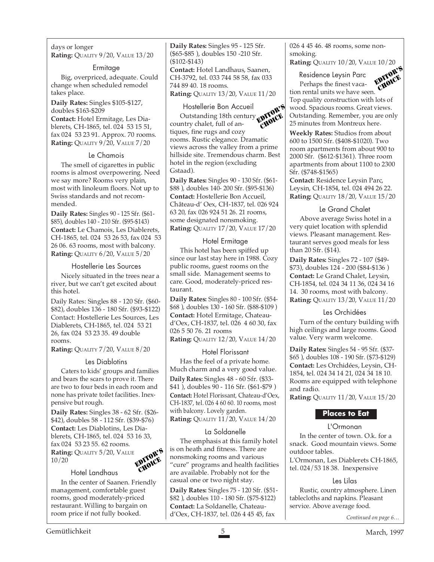days or longer **Rating:** QUALITY 9/20, VALUE 13/20

#### Ermitage

Big, overpriced, adequate. Could change when scheduled remodel takes place.

**Daily Rates:** Singles \$105-\$127, doubles \$163-\$209 **Contact:** Hotel Ermitage, Les Diablerets, CH-1865, tel. 024 53 15 51, fax 024 53 23 91. Approx. 70 rooms. **Rating:** QUALITY 9/20, VALUE 7/20

#### Le Chamois

The smell of cigarettes in public rooms is almost overpowering. Need we say more? Rooms very plain, most with linoleum floors. Not up to Swiss standards and not recommended.

**Daily Rates:** Singles 90 - 125 Sfr. (\$61- \$85), doubles 140 - 210 Sfr. (\$95-\$143) **Contact:** Le Chamois, Les Diablerets, CH-1865, tel. 024 53 26 53, fax 024 53 26 06. 63 rooms, most with balcony. **Rating:** QUALITY 6/20, VALUE 5/20

#### Hostellerie Les Sources

Nicely situated in the trees near a river, but we can't get excited about this hotel.

Daily Rates: Singles 88 - 120 Sfr. (\$60- \$82), doubles 136 - 180 Sfr. (\$93-\$122) Contact: Hostellerie Les Sources, Les Diablerets, CH-1865, tel. 024 53 21 26, fax 024 53 23 35. 49 double rooms.

**Rating:** QUALITY 7/20, VALUE 8/20

#### Les Diablotins

Caters to kids' groups and families and bears the scars to prove it. There are two to four beds in each room and none has private toilet facilities. Inexpensive but rough.

**Daily Rates:** Singles 38 - 62 Sfr. (\$26- \$42), doubles 58 - 112 Sfr. (\$39-\$76) **Contact:** Les Diablotins, Les Diablerets, CH-1865, tel. 024 53 16 33, fax 024 53 23 55. 62 rooms. **Rating:** QUALITY 5/20, VALUE 10/20 EDITOR'S **CHOICE** 

#### Hotel Landhaus

In the center of Saanen. Friendly management, comfortable guest rooms, good moderately-priced restaurant. Willing to bargain on room price if not fully booked.

**Daily Rates:** Singles 95 - 125 Sfr. (\$65-\$85 ), doubles 150 -210 Sfr. (\$102-\$143)

**Contact:** Hotel Landhaus, Saanen, CH-3792, tel. 033 744 58 58, fax 033 744 89 40. 18 rooms.

**Rating:** QUALITY 13/20, VALUE 11/20

#### Hostellerie Bon Accueil

Outstanding 18th century Hostellerie Bon Accueil<br>Outstanding 18th century<br>country chalet, full of antiques, fine rugs and cozy rooms. Rustic elegance. Dramatic views across the valley from a prime hillside site. Tremendous charm. Best hotel in the region (excluding Gstaad). CHOICE

**Daily Rates:** Singles 90 - 130 Sfr. (\$61- \$88 ), doubles 140- 200 Sfr. (\$95-\$136) **Contact:** Hostellerie Bon Accueil, Château-d' Oex, CH-1837, tel. 026 924 63 20, fax 026 924 51 26. 21 rooms, some designated nonsmoking. **Rating:** QUALITY 17/20, VALUE 17/20

#### Hotel Ermitage

This hotel has been spiffed up since our last stay here in 1988. Cozy public rooms, guest rooms on the small side. Management seems to care. Good, moderately-priced restaurant.

**Daily Rates:** Singles 80 - 100 Sfr. (\$54- \$68 ), doubles 130 - 160 Sfr. (\$88-\$109 ) **Contact:** Hotel Ermitage, Chateaud'Oex, CH-1837, tel. 026 4 60 30, fax 026 5 50 76. 21 rooms **Rating:** QUALITY 12/20, VALUE 14/20

#### Hotel Florissant

Has the feel of a private home. Much charm and a very good value. **Daily Rates:** Singles 48 - 60 Sfr. (\$33- \$41 ), doubles 90 - 116 Sfr. (\$61-\$79 ) **Contact:** Hotel Florissant, Chateau-d'Oex, CH-1837, tel. 026 4 60 60. 10 rooms, most with balcony. Lovely garden. **Rating:** QUALITY 11/20, VALUE 14/20

#### La Soldanelle

The emphasis at this family hotel is on heath and fitness. There are nonsmoking rooms and various "cure" programs and health facilities are available. Probably not for the casual one or two night stay.

**Daily Rates:** Singles 75 - 120 Sfr. (\$51- \$82 ), doubles 110 - 180 Sfr. (\$75-\$122) **Contact:** La Soldanelle, Chateaud'Oex, CH-1837, tel. 026 4 45 45, fax

026 4 45 46. 48 rooms, some nonsmoking. **Rating:** QUALITY 10/20, VALUE 10/20

Residence Leysin Parc

Perhaps the finest vacation rental units we have seen. Top quality construction with lots of wood. Spacious rooms. Great views. Outstanding. Remember, you are only 25 minutes from Montreux here. EDITOR'S CHOICE

**Weekly Rates:** Studios from about 600 to 1500 Sfr. (\$408-\$1020). Two room apartments from about 900 to 2000 Sfr. (\$612-\$1361). Three room apartments from about 1100 to 2300 Sfr. (\$748-\$1565)

**Contact:** Residence Leysin Parc, Leysin, CH-1854, tel. 024 494 26 22. **Rating:** QUALITY 18/20, VALUE 15/20

#### Le Grand Chalet

Above average Swiss hotel in a very quiet location with splendid views. Pleasant management. Restaurant serves good meals for less than 20 Sfr. (\$14).

**Daily Rates:** Singles 72 - 107 (\$49- \$73), doubles 124 - 200 (\$84-\$136 ) **Contact:** Le Grand Chalet, Leysin, CH-1854, tel. 024 34 11 36, 024 34 16 14. 30 rooms, most with balcony. **Rating:** QUALITY 13/20, VALUE 11/20

#### Les Orchidées

Turn of the century building with high ceilings and large rooms. Good value. Very warm welcome.

**Daily Rates:** Singles 54 - 95 Sfr. (\$37- \$65 ), doubles 108 - 190 Sfr. (\$73-\$129) **Contact:** Les Orchidées, Leysin, CH-1854, tel. 024 34 14 21, 024 34 18 10. Rooms are equipped with telephone and radio.

**Rating:** QUALITY 11/20, VALUE 15/20

#### **Places to Eat**

#### L'Ormonan

In the center of town. O.k. for a snack. Good mountain views. Some outdoor tables.

L'Ormonan, Les Diablerets CH-1865, tel. 024/53 18 38. Inexpensive

#### Les Lilas

Rustic, country atmosphere. Linen tablecloths and napkins. Pleasant service. Above average food.

*Continued on page 6…*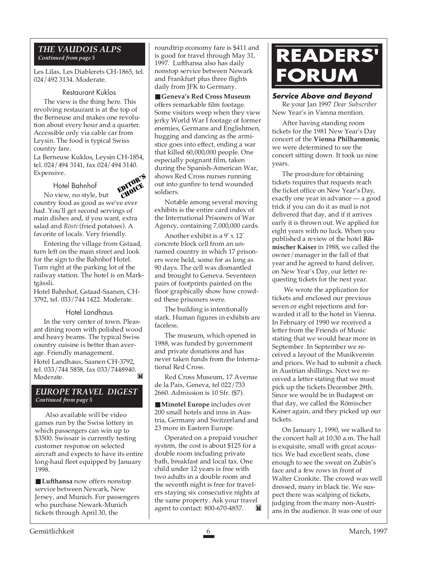## *THE VAUDOIS ALPS*

Les Lilas, Les Diablerets CH-1865, tel. 024/492 3134. Moderate.

#### Restaurant Kuklos

The view is the thing here. This revolving restaurant is at the top of the Berneuse and makes one revolution about every hour and a quarter. Accessible only via cable car from Leysin. The food is typical Swiss country fare.

La Berneuse Kuklos, Leysin CH-1854, tel. 024/494 3141, fax 024/494 3140. Expensive.

Hotel Bahnhof

EDITOR'S CHOICE<sub>R</sub>

No view, no style, but country food as good as we've ever had. You'll get second servings of main dishes and, if you want, extra salad and *Rösti* (fried potatoes). A favorite of locals. Very friendly.

Entering the village from Gstaad, turn left on the main street and look for the sign to the Bahnhof Hotel. Turn right at the parking lot of the railway station. The hotel is on Marktgässli.

Hotel Bahnhof, Gstaad-Saanen, CH-3792, tel. 033/744 1422. Moderate.

#### Hotel Landhaus

In the very center of town. Pleasant dining room with polished wood and heavy beams. The typical Swiss country cuisine is better than average. Friendly management. Hotel Landhaus, Saanen CH-3792, tel. 033/744 5858, fax 033/7448940. M Moderate.

#### *EUROPE TRAVEL DIGEST Continued from page 5*

Also available will be video games run by the Swiss lottery in which passengers can win up to \$3500. Swissair is currently testing customer response on selected aircraft and expects to have its entire long-haul fleet equipped by January 1998.

■ **Lufthansa** now offers nonstop service between Newark, New Jersey, and Munich. For passengers who purchase Newark-Munich tickets through April 30, the

roundtrip economy fare is \$411 and is good for travel through May 31, 1997. Lufthansa also has daily nonstop service between Newark and Frankfurt plus three flights daily from JFK to Germany.

■ **Geneva's Red Cross Museum** offers remarkable film footage. Some visitors weep when they view jerky World War I footage of former enemies, Germans and Englishmen, hugging and dancing as the armistice goes into effect, ending a war that killed 60,000,000 people. One especially poignant film, taken during the Spanish-American War, shows Red Cross nurses running out into gunfire to tend wounded soldiers.

Notable among several moving exhibits is the entire card index of the International Prisoners of War Agency, containing 7,000,000 cards.

Another exhibit is a 9' x 12' concrete block cell from an unnamed country in which 17 prisoners were held, some for as long as 90 days. The cell was dismantled and brought to Geneva. Seventeen pairs of footprints painted on the floor graphically show how crowded these prisoners were.

The building is intentionally stark. Human figures in exhibits are faceless.

The museum, which opened in 1988, was funded by government and private donations and has never taken funds from the International Red Cross.

Red Cross Museum, 17 Avenue de la Paix, Geneva, tel 022/733 2660. Admission is 10 Sfr. (\$7).

■ **Minotel Europe** includes over 200 small hotels and inns in Austria, Germany and Switzerland and 23 more in Eastern Europe.

Operated on a prepaid voucher system, the cost is about \$125 for a double room including private bath, breakfast and local tax. One child under 12 years is free with two adults in a double room and the seventh night is free for travelers staying six consecutive nights at the same property. Ask your travel agent to contact: 800-670-4857. ТW

## *Continued from page 5* **READERS' FORUM**

#### **Service Above and Beyond**

Re your Jan 1997 *Dear Subscriber* New Year's in Vienna mention.

After having standing room tickets for the 1981 New Year's Day concert of the **Vienna Philharmonic**, we were determined to see the concert sitting down. It took us nine years.

The procedure for obtaining tickets requires that requests reach the ticket office on New Year's Day, exactly one year in advance — a good trick if you can do it as mail is not delivered that day, and if it arrives early it is thrown out. We applied for eight years with no luck. When you published a review of the hotel **Römischer Kaiser** in 1988, we called the owner/manager in the fall of that year and he agreed to hand deliver, on New Year's Day, our letter requesting tickets for the next year.

 We wrote the application for tickets and enclosed our previous seven or eight rejections and forwarded it all to the hotel in Vienna. In February of 1990 we received a letter from the Friends of Music stating that we would hear more in September. In September we received a layout of the Musikverein and prices. We had to submit a check in Austrian shillings. Next we received a letter stating that we must pick up the tickets December 29th. Since we would be in Budapest on that day, we called the Römischer Kaiser again, and they picked up our tickets.

On January 1, 1990, we walked to the concert hall at 10:30 a.m. The hall is exquisite, small with great acoustics. We had excellent seats, close enough to see the sweat on Zubin's face and a few rows in front of Walter Cronkite. The crowd was well dressed, many in black tie. We suspect there was scalping of tickets, judging from the many non-Austrians in the audience. It was one of our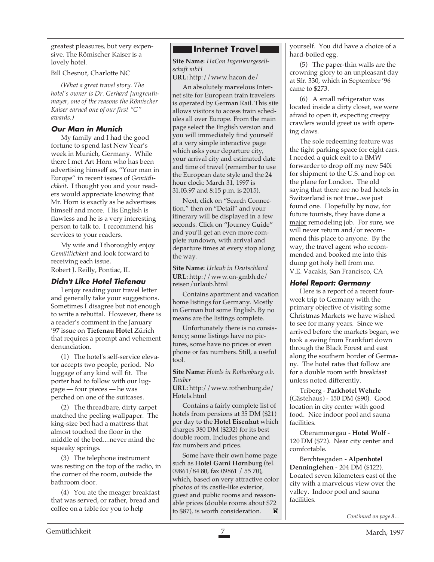greatest pleasures, but very expensive. The Römischer Kaiser is a lovely hotel.

Bill Chesnut, Charlotte NC

*(What a great travel story. The hotel's owner is Dr. Gerhard Jungreuthmayer, one of the reasons the Römischer Kaiser earned one of our first "G" awards.)*

#### **Our Man in Munich**

My family and I had the good fortune to spend last New Year's week in Munich, Germany. While there I met Art Horn who has been advertising himself as, "Your man in Europe" in recent issues of *Gemütlichkeit*. I thought you and your readers would appreciate knowing that Mr. Horn is exactly as he advertises himself and more. His English is flawless and he is a very interesting person to talk to. I recommend his services to your readers.

My wife and I thoroughly enjoy *Gemütlichkeit* and look forward to receiving each issue. Robert J. Reilly, Pontiac, IL

#### **Didn't Like Hotel Tiefenau**

I enjoy reading your travel letter and generally take your suggestions. Sometimes I disagree but not enough to write a rebuttal. However, there is a reader's comment in the January '97 issue on **Tiefenau Hotel** Zürich that requires a prompt and vehement denunciation.

(1) The hotel's self-service elevator accepts two people, period. No luggage of any kind will fit. The porter had to follow with our luggage — four pieces — he was perched on one of the suitcases.

(2) The threadbare, dirty carpet matched the peeling wallpaper. The king-size bed had a mattress that almost touched the floor in the middle of the bed....never mind the squeaky springs.

(3) The telephone instrument was resting on the top of the radio, in the corner of the room, outside the bathroom door.

(4) You ate the meager breakfast that was served, or rather, bread and coffee on a table for you to help

#### **Internet Travell**

**Site Name:** *HaCon Ingenieurgesellschaft mbH*

**URL:** http://www.hacon.de/

An absolutely marvelous Internet site for European train travelers is operated by German Rail. This site allows visitors to access train schedules all over Europe. From the main page select the English version and you will immediately find yourself at a very simple interactive page which asks your departure city, your arrival city and estimated date and time of travel (remember to use the European date style and the 24 hour clock: March 31, 1997 is 31.03.97 and 8:15 p.m. is 2015).

Next, click on "Search Connection," then on "Detail" and your itinerary will be displayed in a few seconds. Click on "Journey Guide" and you'll get an even more complete rundown, with arrival and departure times at every stop along the way.

**Site Name:** *Urlaub in Deutschland* **URL:** http://www.on-gmbh.de/ reisen/urlaub.html

Contains apartment and vacation home listings for Germany. Mostly in German but some English. By no means are the listings complete.

Unfortunately there is no consistency; some listings have no pictures, some have no prices or even phone or fax numbers. Still, a useful tool.

**Site Name:** *Hotels in Rothenburg o.b. Tauber*

**URL:** http://www.rothenburg.de/ Hotels.html

Contains a fairly complete list of hotels from pensions at 35 DM (\$21) per day to the **Hotel Eisenhut** which charges 380 DM (\$232) for its best double room. Includes phone and fax numbers and prices.

Some have their own home page such as **Hotel Garni Hornburg** (tel. 09861/84 80, fax 09861 / 55 70), which, based on very attractive color photos of its castle-like exterior, guest and public rooms and reasonable prices (double rooms about \$72 to \$87), is worth consideration.M

yourself. You did have a choice of a hard-boiled egg.

(5) The paper-thin walls are the crowning glory to an unpleasant day at Sfr. 330, which in September '96 came to \$273.

(6) A small refrigerator was located inside a dirty closet, we were afraid to open it, expecting creepy crawlers would greet us with opening claws.

The sole redeeming feature was the tight parking space for eight cars. I needed a quick exit to a BMW forwarder to drop off my new 540i for shipment to the U.S. and hop on the plane for London. The old saying that there are no bad hotels in Switzerland is not true...we just found one. Hopefully by now, for future tourists, they have done a major remodeling job. For sure, we will never return and/or recommend this place to anyone. By the way, the travel agent who recommended and booked me into this dump got holy hell from me. V.E. Vacakis, San Francisco, CA

#### **Hotel Report: Germany**

Here is a report of a recent fourweek trip to Germany with the primary objective of visiting some Christmas Markets we have wished to see for many years. Since we arrived before the markets began, we took a swing from Frankfurt down through the Black Forest and east along the southern border of Germany. The hotel rates that follow are for a double room with breakfast unless noted differently.

Triberg - **Parkhotel Wehrle** (Gästehaus) - 150 DM (\$90). Good location in city center with good food. Nice indoor pool and sauna facilities.

Oberammergau - **Hotel Wolf** - 120 DM (\$72). Near city center and comfortable.

Berchtesgaden - **Alpenhotel Denninglehen** - 204 DM (\$122). Located seven kilometers east of the city with a marvelous view over the valley. Indoor pool and sauna facilities.

*Continued on page 8…*